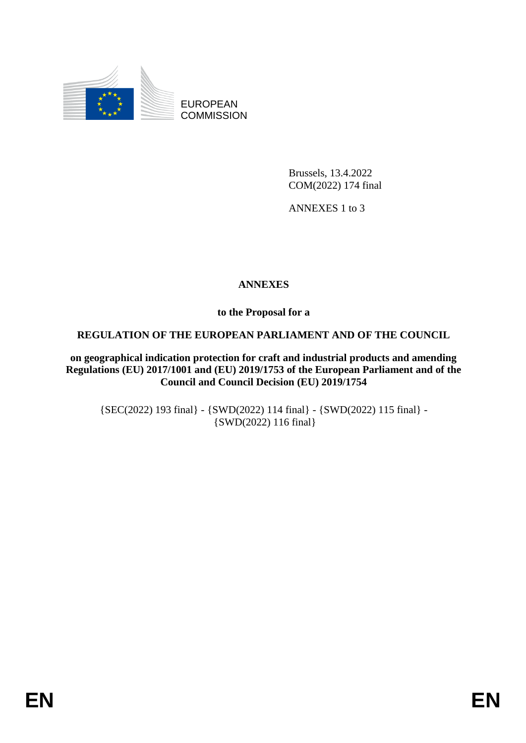

EUROPEAN **COMMISSION** 

> Brussels, 13.4.2022 COM(2022) 174 final

ANNEXES 1 to 3

## **ANNEXES**

**to the Proposal for a**

### **REGULATION OF THE EUROPEAN PARLIAMENT AND OF THE COUNCIL**

**on geographical indication protection for craft and industrial products and amending Regulations (EU) 2017/1001 and (EU) 2019/1753 of the European Parliament and of the Council and Council Decision (EU) 2019/1754**

{SEC(2022) 193 final} - {SWD(2022) 114 final} - {SWD(2022) 115 final} - {SWD(2022) 116 final}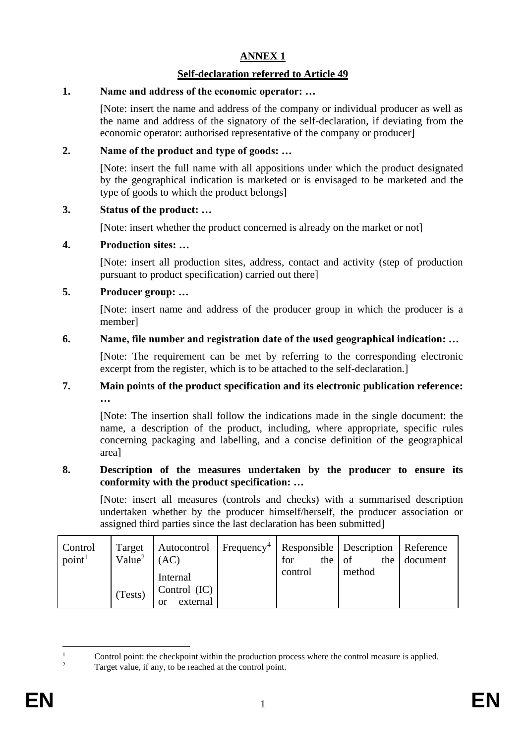## **ANNEX 1**

### **Self-declaration referred to Article 49**

### **1. Name and address of the economic operator: …**

[Note: insert the name and address of the company or individual producer as well as the name and address of the signatory of the self-declaration, if deviating from the economic operator: authorised representative of the company or producer]

### **2. Name of the product and type of goods: …**

[Note: insert the full name with all appositions under which the product designated by the geographical indication is marketed or is envisaged to be marketed and the type of goods to which the product belongs]

## **3. Status of the product: …**

[Note: insert whether the product concerned is already on the market or not]

### **4. Production sites: …**

[Note: insert all production sites, address, contact and activity (step of production pursuant to product specification) carried out there]

## **5. Producer group: …**

[Note: insert name and address of the producer group in which the producer is a member]

## **6. Name, file number and registration date of the used geographical indication: …**

[Note: The requirement can be met by referring to the corresponding electronic excerpt from the register, which is to be attached to the self-declaration.]

#### **7. Main points of the product specification and its electronic publication reference: …**

[Note: The insertion shall follow the indications made in the single document: the name, a description of the product, including, where appropriate, specific rules concerning packaging and labelling, and a concise definition of the geographical area]

### **8. Description of the measures undertaken by the producer to ensure its conformity with the product specification: …**

[Note: insert all measures (controls and checks) with a summarised description undertaken whether by the producer himself/herself, the producer association or assigned third parties since the last declaration has been submitted]

| Control<br>point <sup>1</sup> | Value <sup>2</sup> | Target   Autocontrol   Frequency <sup>4</sup>   Responsible   Description   Reference<br>(AC) | the $\vert$ of<br>for |  |        | the document |
|-------------------------------|--------------------|-----------------------------------------------------------------------------------------------|-----------------------|--|--------|--------------|
|                               |                    | Internal                                                                                      | control               |  | method |              |
|                               | (Tests)            | Control $(IC)$                                                                                |                       |  |        |              |
|                               |                    | external<br>or                                                                                |                       |  |        |              |

<sup>&</sup>lt;sup>1</sup> Control point: the checkpoint within the production process where the control measure is applied.<br><sup>2</sup> Terrest value, if any to be reached at the control point.

Target value, if any, to be reached at the control point.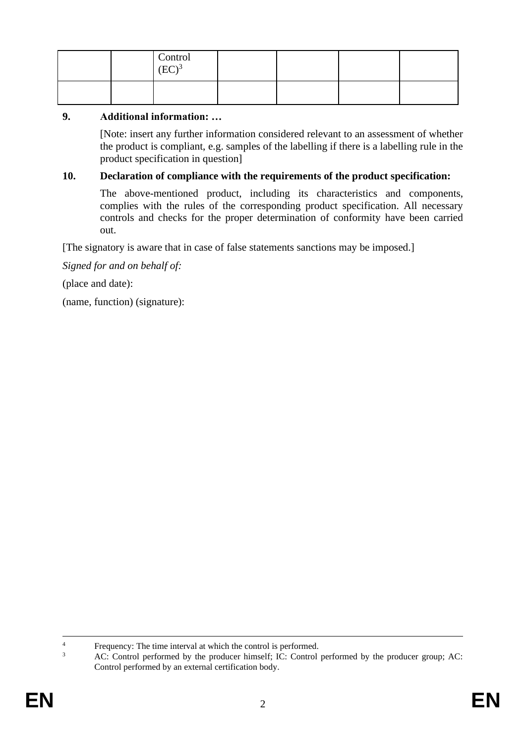|  | Control<br>$\left(EC\right)^3$ |  |  |
|--|--------------------------------|--|--|
|  |                                |  |  |

#### **9. Additional information: …**

[Note: insert any further information considered relevant to an assessment of whether the product is compliant, e.g. samples of the labelling if there is a labelling rule in the product specification in question]

#### **10. Declaration of compliance with the requirements of the product specification:**

The above-mentioned product, including its characteristics and components, complies with the rules of the corresponding product specification. All necessary controls and checks for the proper determination of conformity have been carried out.

[The signatory is aware that in case of false statements sanctions may be imposed.]

*Signed for and on behalf of:*

(place and date):

(name, function) (signature):

<sup>&</sup>lt;sup>4</sup><br>Frequency: The time interval at which the control is performed.<br><sup>3</sup>

<sup>3</sup> AC: Control performed by the producer himself; IC: Control performed by the producer group; AC: Control performed by an external certification body.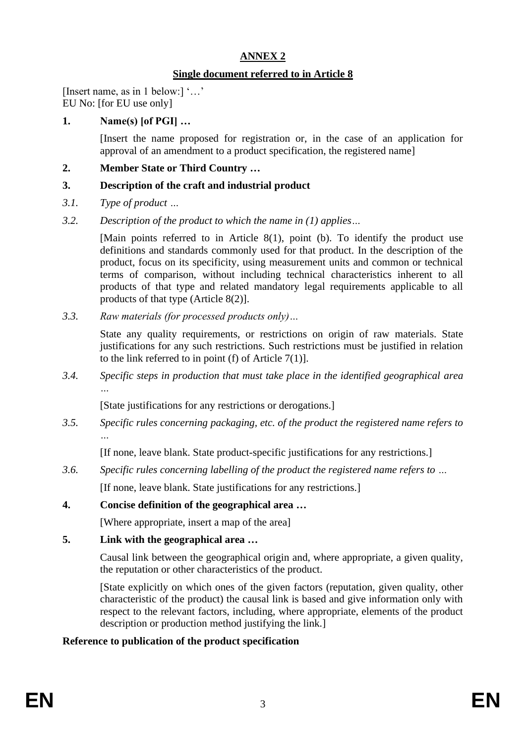## **ANNEX 2**

### **Single document referred to in Article 8**

[Insert name, as in 1 below:] '…' EU No: [for EU use only]

## **1. Name(s) [of PGI] …**

[Insert the name proposed for registration or, in the case of an application for approval of an amendment to a product specification, the registered name]

### **2. Member State or Third Country …**

### **3. Description of the craft and industrial product**

- *3.1. Type of product …*
- *3.2. Description of the product to which the name in (1) applies…*

[Main points referred to in Article 8(1), point (b). To identify the product use definitions and standards commonly used for that product. In the description of the product, focus on its specificity, using measurement units and common or technical terms of comparison, without including technical characteristics inherent to all products of that type and related mandatory legal requirements applicable to all products of that type (Article 8(2)].

*3.3. Raw materials (for processed products only)…*

State any quality requirements, or restrictions on origin of raw materials. State justifications for any such restrictions. Such restrictions must be justified in relation to the link referred to in point (f) of Article  $7(1)$ ].

*3.4. Specific steps in production that must take place in the identified geographical area …*

[State justifications for any restrictions or derogations.]

*3.5. Specific rules concerning packaging, etc. of the product the registered name refers to*

[If none, leave blank. State product-specific justifications for any restrictions.]

- *3.6. Specific rules concerning labelling of the product the registered name refers to …* [If none, leave blank. State justifications for any restrictions.]
- **4. Concise definition of the geographical area …**

[Where appropriate, insert a map of the area]

**5. Link with the geographical area …**

Causal link between the geographical origin and, where appropriate, a given quality, the reputation or other characteristics of the product.

[State explicitly on which ones of the given factors (reputation, given quality, other characteristic of the product) the causal link is based and give information only with respect to the relevant factors, including, where appropriate, elements of the product description or production method justifying the link.]

# **Reference to publication of the product specification**